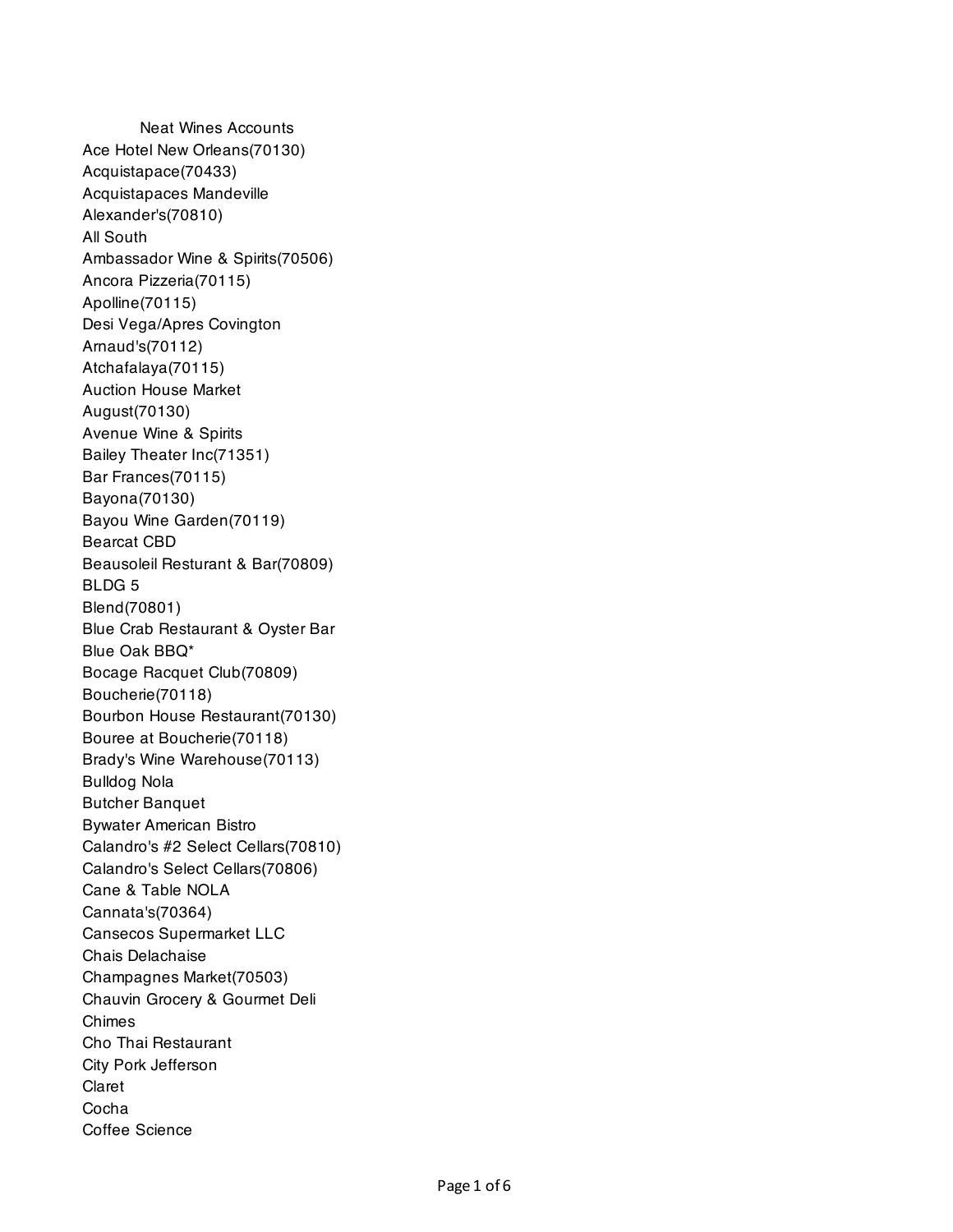Neat Wines Accounts Ace Hotel New Orleans(70130) Acquistapace(70433) Acquistapaces Mandeville Alexander's(70810) All South Ambassador Wine & Spirits(70506) Ancora Pizzeria(70115) Apolline(70115) Desi Vega/Apres Covington Arnaud's(70112) Atchafalaya(70115) Auction House Market August(70130) Avenue Wine & Spirits Bailey Theater Inc(71351) Bar Frances(70115) Bayona(70130) Bayou Wine Garden(70119) Bearcat CBD Beausoleil Resturant & Bar(70809) BLDG 5 Blend(70801) Blue Crab Restaurant & Oyster Bar Blue Oak BBQ\* Bocage Racquet Club(70809) Boucherie(70118) Bourbon House Restaurant(70130) Bouree at Boucherie(70118) Brady's Wine Warehouse(70113) Bulldog Nola Butcher Banquet Bywater American Bistro Calandro's #2 Select Cellars(70810) Calandro's Select Cellars(70806) Cane & Table NOLA Cannata's(70364) Cansecos Supermarket LLC Chais Delachaise Champagnes Market(70503) Chauvin Grocery & Gourmet Deli Chimes Cho Thai Restaurant City Pork Jefferson Claret Cocha Coffee Science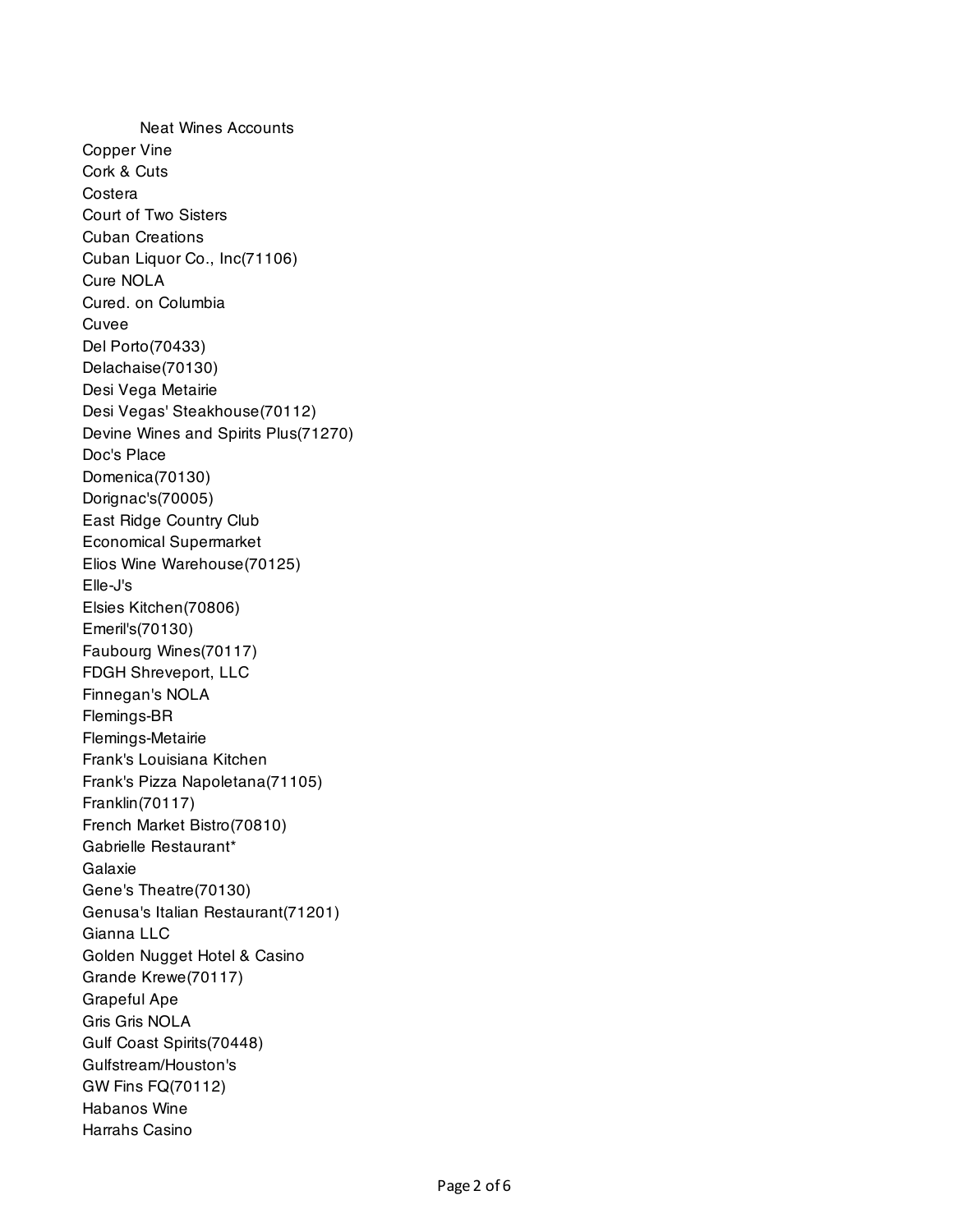Neat Wines Accounts Copper Vine Cork & Cuts Costera Court of Two Sisters Cuban Creations Cuban Liquor Co., Inc(71106) Cure NOLA Cured. on Columbia Cuvee Del Porto(70433) Delachaise(70130) Desi Vega Metairie Desi Vegas' Steakhouse(70112) Devine Wines and Spirits Plus(71270) Doc's Place Domenica(70130) Dorignac's(70005) East Ridge Country Club Economical Supermarket Elios Wine Warehouse(70125) Elle-J's Elsies Kitchen(70806) Emeril's(70130) Faubourg Wines(70117) FDGH Shreveport, LLC Finnegan's NOLA Flemings-BR Flemings-Metairie Frank's Louisiana Kitchen Frank's Pizza Napoletana(71105) Franklin(70117) French Market Bistro(70810) Gabrielle Restaurant\* Galaxie Gene's Theatre(70130) Genusa's Italian Restaurant(71201) Gianna LLC Golden Nugget Hotel & Casino Grande Krewe(70117) Grapeful Ape Gris Gris NOLA Gulf Coast Spirits(70448) Gulfstream/Houston's GW Fins FQ(70112) Habanos Wine Harrahs Casino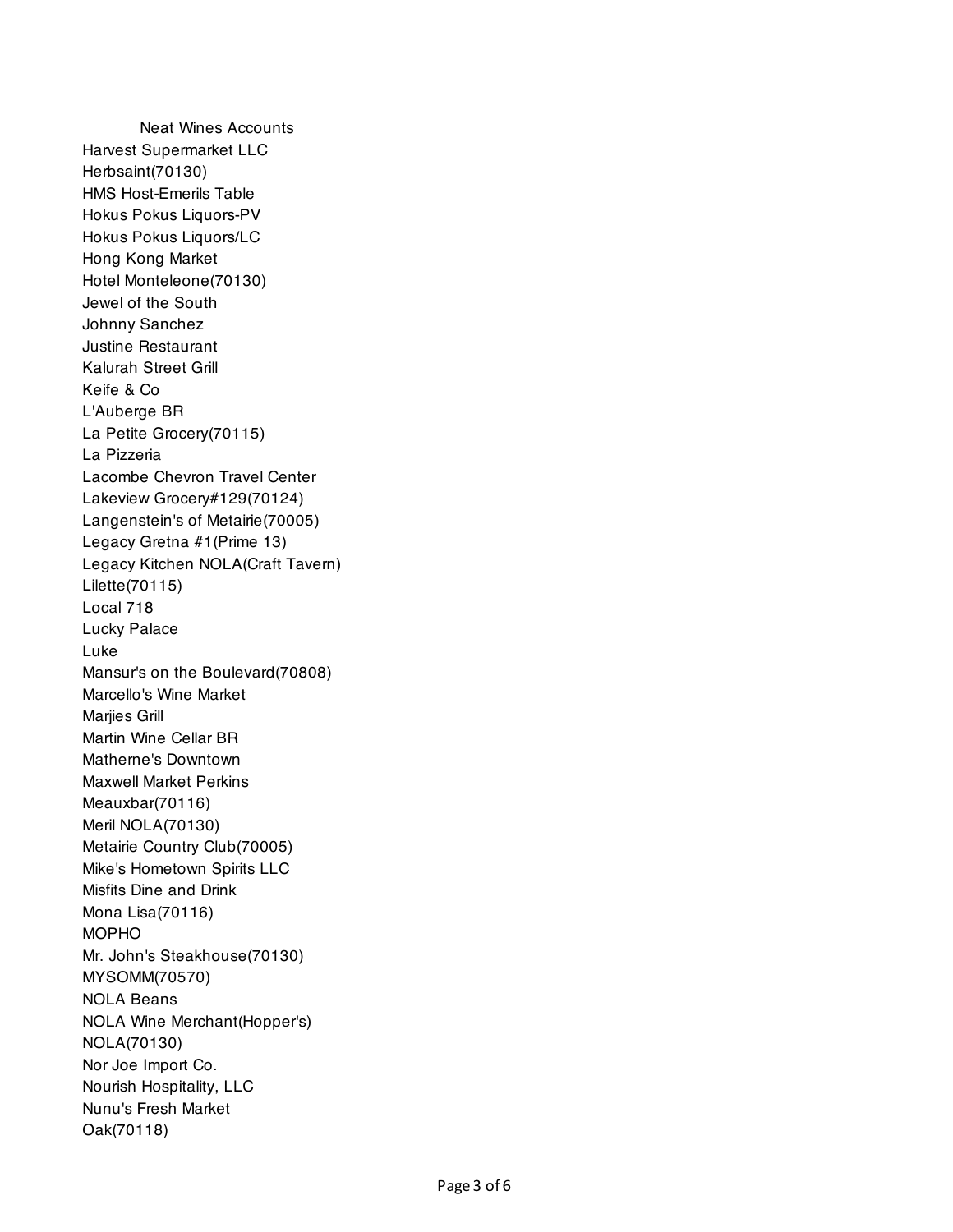Neat Wines Accounts Harvest Supermarket LLC Herbsaint(70130) HMS Host-Emerils Table Hokus Pokus Liquors-PV Hokus Pokus Liquors/LC Hong Kong Market Hotel Monteleone(70130) Jewel of the South Johnny Sanchez Justine Restaurant Kalurah Street Grill Keife & Co L'Auberge BR La Petite Grocery(70115) La Pizzeria Lacombe Chevron Travel Center Lakeview Grocery#129(70124) Langenstein's of Metairie(70005) Legacy Gretna #1(Prime 13) Legacy Kitchen NOLA(Craft Tavern) Lilette(70115) Local 718 Lucky Palace Luke Mansur's on the Boulevard(70808) Marcello's Wine Market Marjies Grill Martin Wine Cellar BR Matherne's Downtown Maxwell Market Perkins Meauxbar(70116) Meril NOLA(70130) Metairie Country Club(70005) Mike's Hometown Spirits LLC Misfits Dine and Drink Mona Lisa(70116) MOPHO Mr. John's Steakhouse(70130) MYSOMM(70570) NOLA Beans NOLA Wine Merchant(Hopper's) NOLA(70130) Nor Joe Import Co. Nourish Hospitality, LLC Nunu's Fresh Market Oak(70118)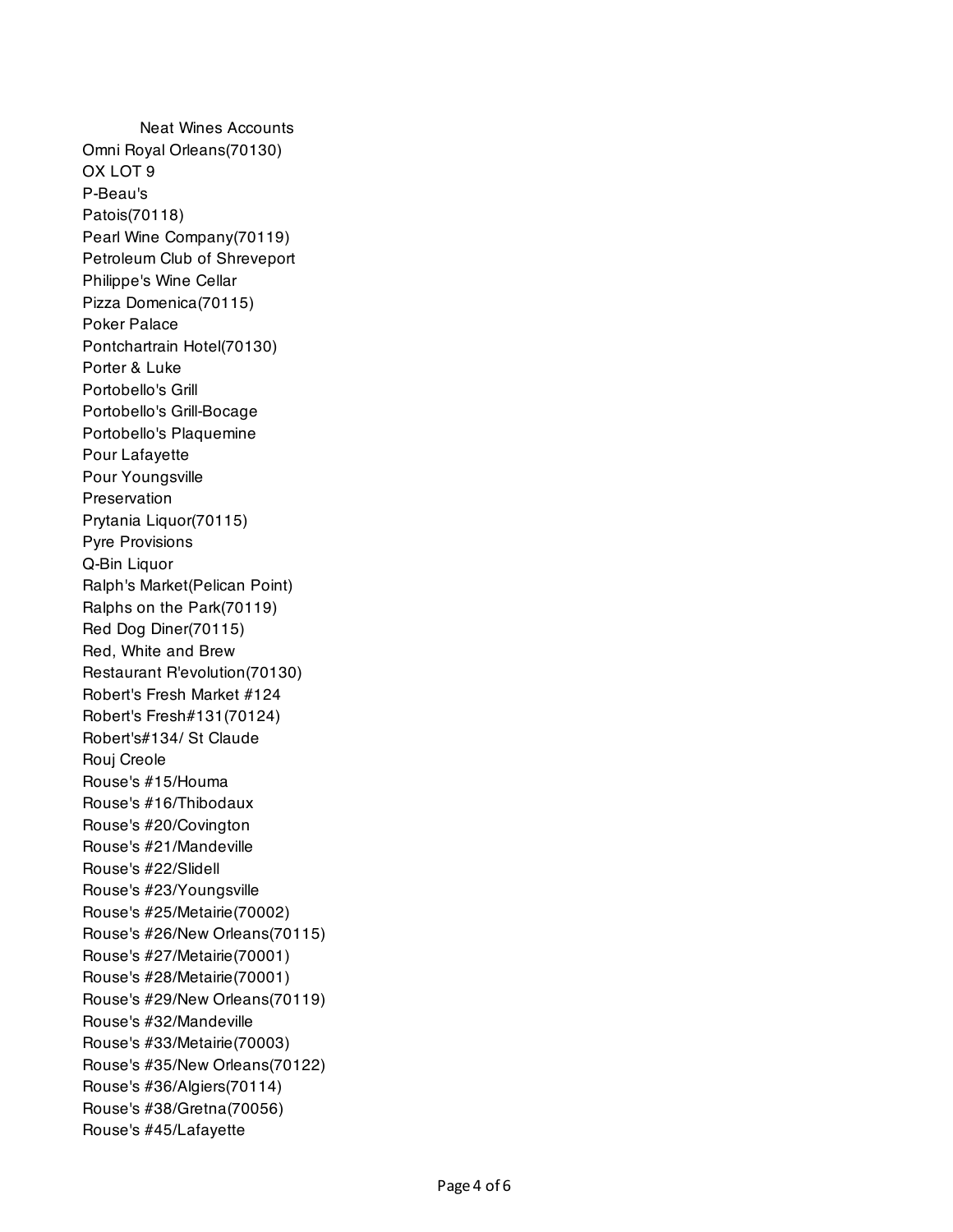Neat Wines Accounts Omni Royal Orleans(70130) OX LOT 9 P-Beau's Patois(70118) Pearl Wine Company(70119) Petroleum Club of Shreveport Philippe's Wine Cellar Pizza Domenica(70115) Poker Palace Pontchartrain Hotel(70130) Porter & Luke Portobello's Grill Portobello's Grill-Bocage Portobello's Plaquemine Pour Lafayette Pour Youngsville **Preservation** Prytania Liquor(70115) Pyre Provisions Q-Bin Liquor Ralph's Market(Pelican Point) Ralphs on the Park(70119) Red Dog Diner(70115) Red, White and Brew Restaurant R'evolution(70130) Robert's Fresh Market #124 Robert's Fresh#131(70124) Robert's#134/ St Claude Rouj Creole Rouse's #15/Houma Rouse's #16/Thibodaux Rouse's #20/Covington Rouse's #21/Mandeville Rouse's #22/Slidell Rouse's #23/Youngsville Rouse's #25/Metairie(70002) Rouse's #26/New Orleans(70115) Rouse's #27/Metairie(70001) Rouse's #28/Metairie(70001) Rouse's #29/New Orleans(70119) Rouse's #32/Mandeville Rouse's #33/Metairie(70003) Rouse's #35/New Orleans(70122) Rouse's #36/Algiers(70114) Rouse's #38/Gretna(70056) Rouse's #45/Lafayette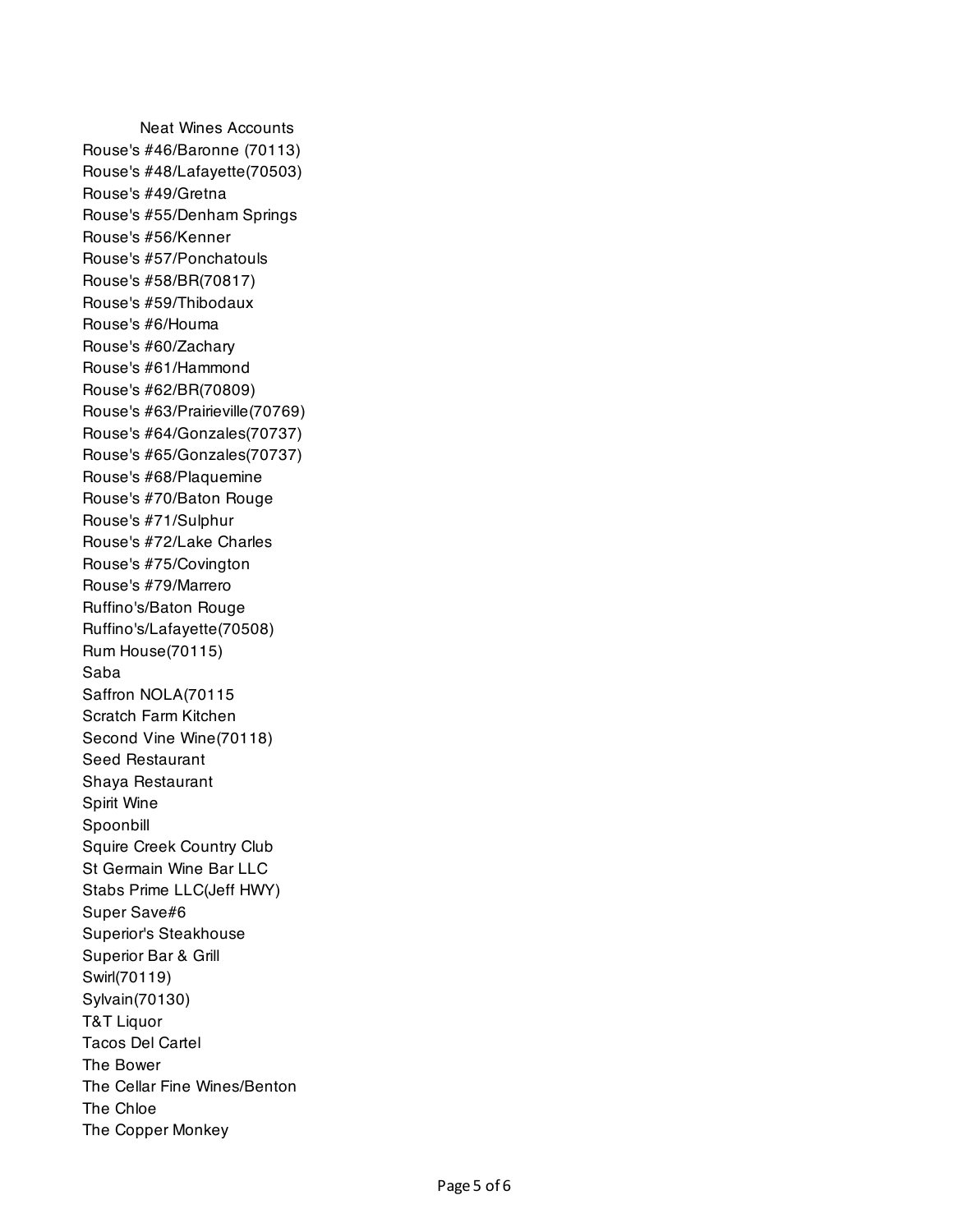Neat Wines Accounts Rouse's #46/Baronne (70113) Rouse's #48/Lafayette(70503) Rouse's #49/Gretna Rouse's #55/Denham Springs Rouse's #56/Kenner Rouse's #57/Ponchatouls Rouse's #58/BR(70817) Rouse's #59/Thibodaux Rouse's #6/Houma Rouse's #60/Zachary Rouse's #61/Hammond Rouse's #62/BR(70809) Rouse's #63/Prairieville(70769) Rouse's #64/Gonzales(70737) Rouse's #65/Gonzales(70737) Rouse's #68/Plaquemine Rouse's #70/Baton Rouge Rouse's #71/Sulphur Rouse's #72/Lake Charles Rouse's #75/Covington Rouse's #79/Marrero Ruffino's/Baton Rouge Ruffino's/Lafayette(70508) Rum House(70115) Saba Saffron NOLA(70115 Scratch Farm Kitchen Second Vine Wine(70118) Seed Restaurant Shaya Restaurant Spirit Wine Spoonbill Squire Creek Country Club St Germain Wine Bar LLC Stabs Prime LLC(Jeff HWY) Super Save#6 Superior's Steakhouse Superior Bar & Grill Swirl(70119) Sylvain(70130) T&T Liquor Tacos Del Cartel The Bower The Cellar Fine Wines/Benton The Chloe The Copper Monkey